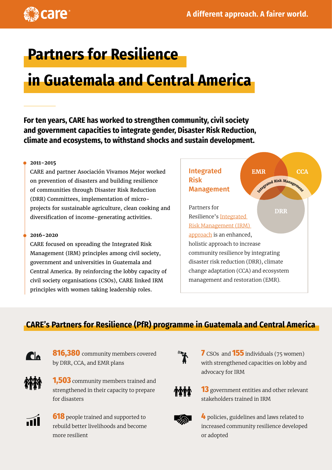

# **Partners for Resilience**

# **in Guatemala and Central America**

**For ten years, CARE has worked to strengthen community, civil society and government capacities to integrate gender, Disaster Risk Reduction, climate and ecosystems, to withstand shocks and sustain development.**

#### **2011-2015**

CARE and partner Asociación Vivamos Mejor worked on prevention of disasters and building resilience of communities through Disaster Risk Reduction (DRR) Committees, implementation of microprojects for sustainable agriculture, clean cooking and diversification of income-generating activities.

#### **2016-2020**

CARE focused on spreading the Integrated Risk Management (IRM) principles among civil society, government and universities in Guatemala and Central America. By reinforcing the lobby capacity of civil society organisations (CSOs), CARE linked IRM principles with women taking leadership roles.



## **CARE's Partners for Resilience (PfR) programme in Guatemala and Central America**



**816,380** community members covered by DRR, CCA, and EMR plans



**1,503** community members trained and strengthened in their capacity to prepare for disasters



**618** people trained and supported to rebuild better livelihoods and become more resilient



**7** CSOs and **155** individuals (75 women) with strengthened capacities on lobby and advocacy for IRM



**13** government entities and other relevant stakeholders trained in IRM



**4** policies, guidelines and laws related to increased community resilience developed or adopted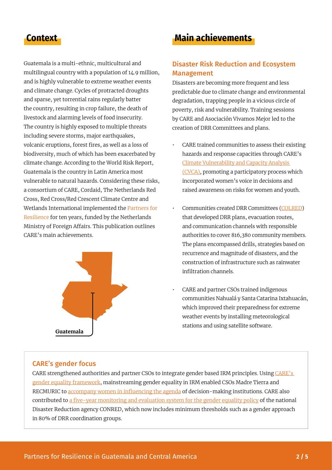Guatemala is a multi-ethnic, multicultural and multilingual country with a population of 14.9 million, and is highly vulnerable to extreme weather events and climate change. Cycles of protracted droughts and sparse, yet torrential rains regularly batter the country, resulting in crop failure, the death of livestock and alarming levels of food insecurity. The country is highly exposed to multiple threats including severe storms, major earthquakes, volcanic eruptions, forest fires, as well as a loss of biodiversity, much of which has been exacerbated by climate change. According to the World Risk Report, Guatemala is the country in Latin America most vulnerable to natural hazards. Considering these risks, a consortium of CARE, Cordaid, The Netherlands Red Cross, Red Cross/Red Crescent Climate Centre and Wetlands International implemented the [Partners for](https://www.partnersforresilience.nl/en/)  [Resilience](https://www.partnersforresilience.nl/en/) for ten years, funded by the Netherlands Ministry of Foreign Affairs. This publication outlines CARE's main achievements.



# **Context Main achievements**

### Disaster Risk Reduction and Ecosystem Management

Disasters are becoming more frequent and less predictable due to climate change and environmental degradation, trapping people in a vicious circle of poverty, risk and vulnerability. Training sessions by CARE and Asociación Vivamos Mejor led to the creation of DRR Committees and plans.

- CARE trained communities to assess their existing hazards and response capacities through CARE's [Climate Vulnerability and Capacity Analysis](https://careclimatechange.org/cvca/)  [\(CVCA\),](https://careclimatechange.org/cvca/) promoting a participatory process which incorporated women's voice in decisions and raised awareness on risks for women and youth.
- Communities created DRR Committees ([COLRED\)](https://library.partnersforresilience.nl/?r=633) that developed DRR plans, evacuation routes, and communication channels with responsible authorities to cover 816,380 community members. The plans encompassed drills, strategies based on recurrence and magnitude of disasters, and the construction of infrastructure such as rainwater infiltration channels.
- CARE and partner CSOs trained indigenous communities Nahualá y Santa Catarina Ixtahuacán, which improved their preparedness for extreme weather events by installing meteorological stations and using satellite software.

#### CARE's gender focus

CARE strengthened authorities and partner CSOs to integrate gender based IRM principles. Using [CARE's](https://insights.careinternational.org.uk/images/in-practice/GEWV/GEWV_guidance-note_spanish_2019.pdf)  [gender equality framework,](https://insights.careinternational.org.uk/images/in-practice/GEWV/GEWV_guidance-note_spanish_2019.pdf) mainstreaming gender equality in IRM enabled CSOs Madre Tierra and RECMURIC to [accompany women in influencing the agenda](https://library.partnersforresilience.nl/pages/view.php?ref=635&k=) of decision-making institutions. CARE also contributed to [a five-year monitoring and evaluation system for the gender equality policy](https://library.partnersforresilience.nl/pages/view.php?ref=322&k=) of the national Disaster Reduction agency CONRED, which now includes minimum thresholds such as a gender approach in 80% of DRR coordination groups.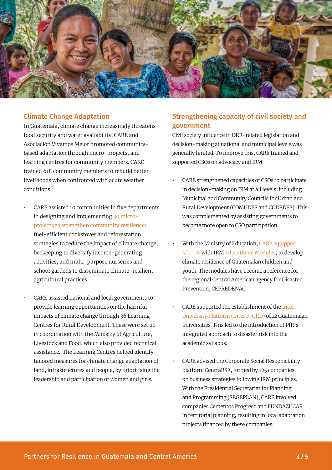

#### Climate Change Adaptation

In Guatemala, climate change increasingly threatens food security and water availability. CARE and Asociación Vivamos Mejor promoted communitybased adaptation through micro-projects, and learning centres for community members. CARE trained 618 community members to rebuild better livelihoods when confronted with acute weather conditions.

- CARE assisted 10 communities in five departments in designing and implementing [30 micro](https://library.partnersforresilience.nl/?r=632)[projects to strengthen community resilience:](https://library.partnersforresilience.nl/?r=632) fuel-efficient cookstoves and reforestation strategies to reduce the impact of climate change; beekeeping to diversify income-generating activities; and multi-purpose nurseries and school gardens to disseminate climate-resilient agricultural practices.
- CARE assisted national and local governments to provide learning opportunities on the harmful impacts of climate change through 36 Learning Centres for Rural Development. These were set up in coordination with the Ministry of Agriculture, Livestock and Food, which also provided technical assistance. The Learning Centres helped identify tailored measures for climate change adaptation of land, infrastructures and people, by prioritising the leadership and participation of women and girls.

### Strengthening capacity of civil society and government

Civil society influence in DRR-related legislation and decision-making at national and municipal levels was generally limited. To improve this, CARE trained and supported CSOs on advocacy and IRM.

- CARE strengthened capacities of CSOs to participate in decision-making on IRM at all levels, including Municipal and Community Councils for Urban and Rural Development (COMUDES and CODEDES). This was complemented by assisting governments to become more open to CSO participation.
- With the Ministry of Education, CARE equipped [schools](https://careclimatechange.org/case-studies-bringing-resilience-building-to-the-classroom/) with IRM [Educational Modules](https://library.partnersforresilience.nl/pages/search.php?search=!collection336), to develop climate resilience of Guatemalan children and youth. The modules have become a reference for the regional Central American agency for Disaster Prevention, CEPREDENAC.
- CARE supported the establishment of the [Inter-](https://library.partnersforresilience.nl/pages/view.php?ref=458&k=)[University Platform \(InterU-GRD\)](https://library.partnersforresilience.nl/pages/view.php?ref=458&k=) of 12 Guatemalan universities. This led to the introduction of PfR's integrated approach to disaster risk into the academic syllabus.
- CARE advised the Corporate Social Responsibility platform CentraRSE, formed by 125 companies, on business strategies following IRM principles. With the Presidential Secretariat for Planning and Programming (SEGEPLAN), CARE involved companies Cementos Progreso and FUNDAZUCAR in territorial planning, resulting in local adaptation projects financed by these companies.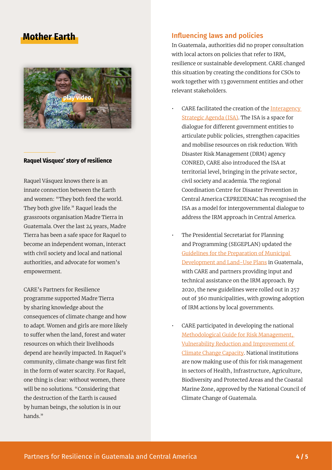## **Mother Earth**



#### **Raquel Vásquez' story of resilience**

Raquel Vásquez knows there is an innate connection between the Earth and women: "They both feed the world. They both give life." Raquel leads the grassroots organisation Madre Tierra in Guatemala. Over the last 24 years, Madre Tierra has been a safe space for Raquel to become an independent woman, interact with civil society and local and national authorities, and advocate for women's empowerment.

CARE's Partners for Resilience programme supported Madre Tierra by sharing knowledge about the consequences of climate change and how to adapt. Women and girls are more likely to suffer when the land, forest and water resources on which their livelihoods depend are heavily impacted. In Raquel's community, climate change was first felt in the form of water scarcity. For Raquel, one thing is clear: without women, there will be no solutions. "Considering that the destruction of the Earth is caused by human beings, the solution is in our hands<sup>"</sup>

#### Influencing laws and policies

In Guatemala, authorities did no proper consultation with local actors on policies that refer to IRM, resilience or sustainable development. CARE changed this situation by creating the conditions for CSOs to work together with 13 government entities and other relevant stakeholders.

- CARE facilitated the creation of the [Interagency](https://library.partnersforresilience.nl/?r=634)  [Strategic Agenda \(ISA\)](https://library.partnersforresilience.nl/?r=634). The ISA is a space for dialogue for different government entities to articulate public policies, strengthen capacities and mobilise resources on risk reduction. With Disaster Risk Management (DRM) agency CONRED, CARE also introduced the ISA at territorial level, bringing in the private sector, civil society and academia. The regional Coordination Centre for Disaster Prevention in Central America CEPREDENAC has recognised the ISA as a model for intergovernmental dialogue to address the IRM approach in Central America.
- The Presidential Secretariat for Planning and Programming (SEGEPLAN) updated the [Guidelines for the Preparation of Municipal](https://library.partnersforresilience.nl/pages/view.php?ref=589&search=guatemala&offset=0&order_by=relevance&sort=DESC&archive=0&k=&)  [Development and Land-Use Plans](https://library.partnersforresilience.nl/pages/view.php?ref=589&search=guatemala&offset=0&order_by=relevance&sort=DESC&archive=0&k=&) in Guatemala, with CARE and partners providing input and technical assistance on the IRM approach. By 2020, the new guidelines were rolled out in 257 out of 360 municipalities, with growing adoption of IRM actions by local governments.
- CARE participated in developing the national [Methodological Guide for Risk Management,](https://library.partnersforresilience.nl/pages/search.php?search=%21collection362&k=&offset=0&order_by=relevance&sort=DESC&)  [Vulnerability Reduction and Improvement of](https://library.partnersforresilience.nl/pages/search.php?search=%21collection362&k=&offset=0&order_by=relevance&sort=DESC&)  [Climate Change Capacity](https://library.partnersforresilience.nl/pages/search.php?search=%21collection362&k=&offset=0&order_by=relevance&sort=DESC&). National institutions are now making use of this for risk management in sectors of Health, Infrastructure, Agriculture, Biodiversity and Protected Areas and the Coastal Marine Zone, approved by the National Council of Climate Change of Guatemala.